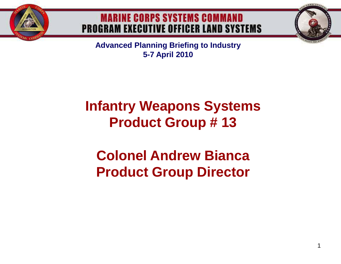

#### **MARINE CORPS SYSTEMS COMMAND PROGRAM EXECUTIVE OFFICER LAND SYSTEMS**

**Advanced Planning Briefing to Industry 5-7 April 2010**

## **Infantry Weapons Systems Product Group # 13**

## **Colonel Andrew Bianca Product Group Director**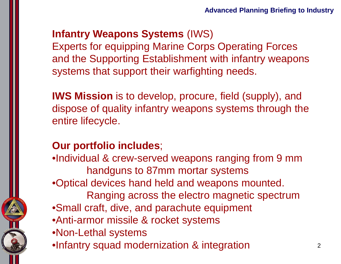### **Infantry Weapons Systems** (IWS)

Experts for equipping Marine Corps Operating Forces and the Supporting Establishment with infantry weapons systems that support their warfighting needs.

**IWS Mission** is to develop, procure, field (supply), and dispose of quality infantry weapons systems through the entire lifecycle.

#### **Our portfolio includes**;

- •Individual & crew-served weapons ranging from 9 mm handguns to 87mm mortar systems
- •Optical devices hand held and weapons mounted.
	- Ranging across the electro magnetic spectrum
- •Small craft, dive, and parachute equipment
- •Anti-armor missile & rocket systems
- •Non-Lethal systems
- •Infantry squad modernization & integration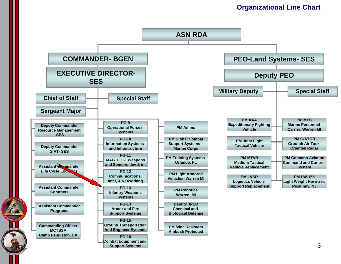#### **Organizational Line Chart**

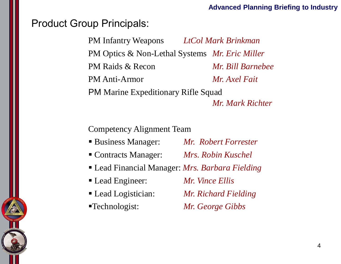#### Product Group Principals:

PM Infantry Weapons *LtCol Mark Brinkman* PM Optics & Non-Lethal Systems *Mr. Eric Miller* PM Raids & Recon *Mr. Bill Barnebee* PM Anti-Armor *Mr. Axel Fait* PM Marine Expeditionary Rifle Squad *Mr. Mark Richter*

Competency Alignment Team

- Business Manager: *Mr. Robert Forrester*
- Contracts Manager: *Mrs. Robin Kuschel*
- Lead Financial Manager: *Mrs. Barbara Fielding*
- Lead Engineer: *Mr. Vince Ellis*
- 
- 

Lead Logistician: *Mr. Richard Fielding*

Technologist: *Mr. George Gibbs*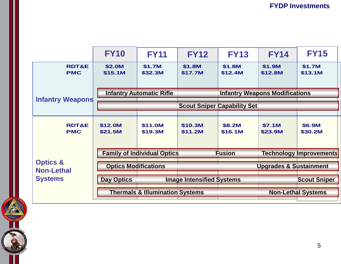|                                                            | <b>FY10</b>                        | <b>FY11</b>                                | <b>FY12</b>        | <b>FY13</b>                           | <b>FY14</b>                       | <b>FY15</b>                    |
|------------------------------------------------------------|------------------------------------|--------------------------------------------|--------------------|---------------------------------------|-----------------------------------|--------------------------------|
| <b>RDT&amp;E</b><br><b>PMC</b>                             | \$2.0M<br>\$15.1M                  | \$1.7M<br>\$32.3M                          | \$1.8M<br>\$17.7M  | \$1.8M<br>\$12.4M                     | \$1.9M<br>\$12.8M                 | \$1.7M<br>\$13.1M              |
| <b>Infantry Weapons</b>                                    | <b>Infantry Automatic Rifle</b>    |                                            |                    | <b>Infantry Weapons Modifications</b> |                                   |                                |
|                                                            | <b>Scout Sniper Capability Set</b> |                                            |                    |                                       |                                   |                                |
| <b>RDT&amp;E</b><br><b>PMC</b>                             | \$12.0M<br>\$21.5M                 | \$11.0M<br>\$19.3M                         | \$10.3M<br>\$11.2M | \$8.2M<br>\$16.1M                     | \$7.1M<br>\$23.9M                 | \$6.9M<br>\$30.2M              |
| <b>Optics &amp;</b><br><b>Non-Lethal</b><br><b>Systems</b> | <b>Family of Individual Optics</b> |                                            |                    | <b>Fusion</b>                         |                                   | <b>Technology Improvements</b> |
|                                                            | <b>Optics Modifications</b>        |                                            |                    |                                       | <b>Upgrades &amp; Sustainment</b> |                                |
|                                                            | <b>Day Optics</b>                  | <b>Image Intensified Systems</b>           |                    |                                       |                                   | <b>Scout Sniper</b>            |
|                                                            |                                    | <b>Thermals &amp; Illumination Systems</b> |                    |                                       |                                   | <b>Non-Lethal Systems</b>      |

**ACCOUNTER**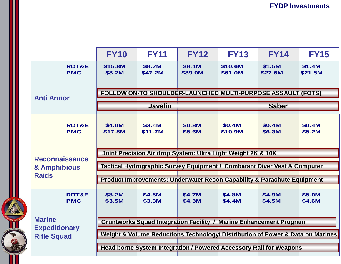|                                                             | <b>FY10</b>                                                                        | <b>FY11</b>              | <b>FY12</b>             | <b>FY13</b>              | <b>FY14</b>             | <b>FY15</b>             |  |  |  |
|-------------------------------------------------------------|------------------------------------------------------------------------------------|--------------------------|-------------------------|--------------------------|-------------------------|-------------------------|--|--|--|
| <b>RDT&amp;E</b><br><b>PMC</b>                              | \$15.8M<br>\$8.2M                                                                  | \$8.7M<br>\$47.2M        | \$8.1M<br>\$89.0M       | \$10.6M<br>\$61.0M       | \$1.5M<br>\$22.6M       | \$1.4M<br>\$21.5M       |  |  |  |
| <b>Anti Armor</b>                                           | FOLLOW ON-TO SHOULDER-LAUNCHED MULTI-PURPOSE ASSAULT (FOTS)                        |                          |                         |                          |                         |                         |  |  |  |
|                                                             | <b>Javelin</b>                                                                     |                          |                         | <b>Saber</b>             |                         |                         |  |  |  |
| <b>RDT&amp;E</b><br><b>PMC</b>                              | \$4.0M<br>\$17.5M                                                                  | <b>\$3.4M</b><br>\$11.7M | <b>\$0.8M</b><br>\$5.6M | <b>\$0.4M</b><br>\$10.9M | <b>\$0.4M</b><br>\$6.3M | <b>\$0.4M</b><br>\$5.2M |  |  |  |
| <b>Reconnaissance</b><br>& Amphibious<br><b>Raids</b>       | Joint Precision Air drop System: Ultra Light Weight 2K & 10K                       |                          |                         |                          |                         |                         |  |  |  |
|                                                             | Tactical Hydrographic Survey Equipment / Combatant Diver Vest & Computer           |                          |                         |                          |                         |                         |  |  |  |
|                                                             | <b>Product Improvements: Underwater Recon Capability &amp; Parachute Equipment</b> |                          |                         |                          |                         |                         |  |  |  |
| <b>RDT&amp;E</b><br><b>PMC</b>                              | \$8.2M<br>\$3.5M                                                                   | \$4.5M<br>\$3.3M         | \$4.7M<br>\$4.3M        | \$4.8M<br>\$4.4M         | \$4.9M<br>\$4.5M        | \$5.0M<br>\$4.6M        |  |  |  |
| <b>Marine</b><br><b>Expeditionary</b><br><b>Rifle Squad</b> | <b>Gruntworks Squad Integration Facility / Marine Enhancement Program</b>          |                          |                         |                          |                         |                         |  |  |  |
|                                                             | Weight & Volume Reductions Technology/ Distribution of Power & Data on Marines     |                          |                         |                          |                         |                         |  |  |  |
|                                                             | Head borne System Integration / Powered Accessory Rail for Weapons                 |                          |                         |                          |                         |                         |  |  |  |
|                                                             |                                                                                    |                          |                         |                          |                         |                         |  |  |  |

**CONSTRUCTION** 

**TOURIS CON**